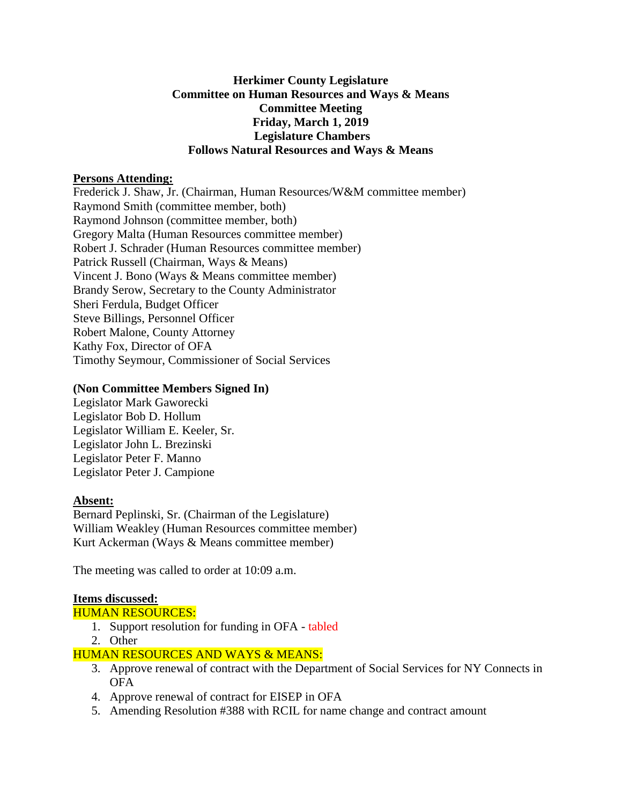### **Herkimer County Legislature Committee on Human Resources and Ways & Means Committee Meeting Friday, March 1, 2019 Legislature Chambers Follows Natural Resources and Ways & Means**

### **Persons Attending:**

Frederick J. Shaw, Jr. (Chairman, Human Resources/W&M committee member) Raymond Smith (committee member, both) Raymond Johnson (committee member, both) Gregory Malta (Human Resources committee member) Robert J. Schrader (Human Resources committee member) Patrick Russell (Chairman, Ways & Means) Vincent J. Bono (Ways & Means committee member) Brandy Serow, Secretary to the County Administrator Sheri Ferdula, Budget Officer Steve Billings, Personnel Officer Robert Malone, County Attorney Kathy Fox, Director of OFA Timothy Seymour, Commissioner of Social Services

# **(Non Committee Members Signed In)**

Legislator Mark Gaworecki Legislator Bob D. Hollum Legislator William E. Keeler, Sr. Legislator John L. Brezinski Legislator Peter F. Manno Legislator Peter J. Campione

# **Absent:**

Bernard Peplinski, Sr. (Chairman of the Legislature) William Weakley (Human Resources committee member) Kurt Ackerman (Ways & Means committee member)

The meeting was called to order at 10:09 a.m.

# **Items discussed:**

#### HUMAN RESOURCES:

- 1. Support resolution for funding in OFA tabled
- 2. Other

# HUMAN RESOURCES AND WAYS & MEANS:

- 3. Approve renewal of contract with the Department of Social Services for NY Connects in OFA
- 4. Approve renewal of contract for EISEP in OFA
- 5. Amending Resolution #388 with RCIL for name change and contract amount